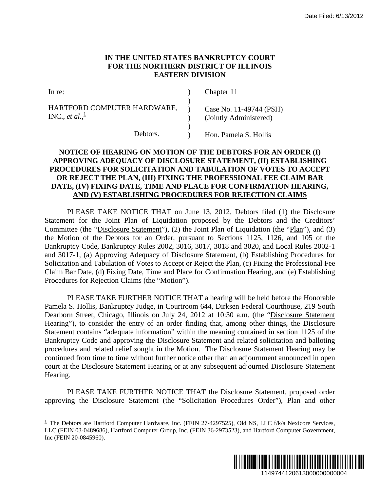## **IN THE UNITED STATES BANKRUPTCY COURT FOR THE NORTHERN DISTRICT OF ILLINOIS EASTERN DIVISION**

| In re:                      |  | Chapter 11              |
|-----------------------------|--|-------------------------|
|                             |  |                         |
| HARTFORD COMPUTER HARDWARE, |  | Case No. 11-49744 (PSH) |
| INC., et al., $\frac{1}{2}$ |  | (Jointly Administered)  |
|                             |  |                         |
| Debtors.                    |  | Hon. Pamela S. Hollis   |

## **NOTICE OF HEARING ON MOTION OF THE DEBTORS FOR AN ORDER (I) APPROVING ADEQUACY OF DISCLOSURE STATEMENT, (II) ESTABLISHING PROCEDURES FOR SOLICITATION AND TABULATION OF VOTES TO ACCEPT OR REJECT THE PLAN, (III) FIXING THE PROFESSIONAL FEE CLAIM BAR DATE, (IV) FIXING DATE, TIME AND PLACE FOR CONFIRMATION HEARING, AND (V) ESTABLISHING PROCEDURES FOR REJECTION CLAIMS**

PLEASE TAKE NOTICE THAT on June 13, 2012, Debtors filed (1) the Disclosure Statement for the Joint Plan of Liquidation proposed by the Debtors and the Creditors' Committee (the "Disclosure Statement"), (2) the Joint Plan of Liquidation (the "Plan"), and (3) the Motion of the Debtors for an Order, pursuant to Sections 1125, 1126, and 105 of the Bankruptcy Code, Bankruptcy Rules 2002, 3016, 3017, 3018 and 3020, and Local Rules 2002-1 and 3017-1, (a) Approving Adequacy of Disclosure Statement, (b) Establishing Procedures for Solicitation and Tabulation of Votes to Accept or Reject the Plan, (c) Fixing the Professional Fee Claim Bar Date, (d) Fixing Date, Time and Place for Confirmation Hearing, and (e) Establishing Procedures for Rejection Claims (the "Motion").

PLEASE TAKE FURTHER NOTICE THAT a hearing will be held before the Honorable Pamela S. Hollis, Bankruptcy Judge, in Courtroom 644, Dirksen Federal Courthouse, 219 South Dearborn Street, Chicago, Illinois on July 24, 2012 at 10:30 a.m. (the "Disclosure Statement Hearing"), to consider the entry of an order finding that, among other things, the Disclosure Statement contains "adequate information" within the meaning contained in section 1125 of the Bankruptcy Code and approving the Disclosure Statement and related solicitation and balloting procedures and related relief sought in the Motion. The Disclosure Statement Hearing may be continued from time to time without further notice other than an adjournment announced in open court at the Disclosure Statement Hearing or at any subsequent adjourned Disclosure Statement Hearing. Date Filed: 6/13/2012<br>
URT<br>
URT<br>
11595<br>
1158<br>
1158<br>
1158<br>
1158<br>
126 AN ORDER (I)<br>
1158<br>
1176 AN ORDER (I)<br>
126 AN ORDER TO ACCEPT<br>
176 FEE CLAIM BAR<br>
147110N HEARING,<br>
1206, and 105 of the<br>
111126, and 105 of the<br>
120 and

PLEASE TAKE FURTHER NOTICE THAT the Disclosure Statement, proposed order approving the Disclosure Statement (the "Solicitation Procedures Order"), Plan and other

 $\overline{a}$ 



 $1$  The Debtors are Hartford Computer Hardware, Inc. (FEIN 27-4297525), Old NS, LLC f/k/a Nexicore Services, LLC (FEIN 03-0489686), Hartford Computer Group, Inc. (FEIN 36-2973523), and Hartford Computer Government, Inc (FEIN 20-0845960).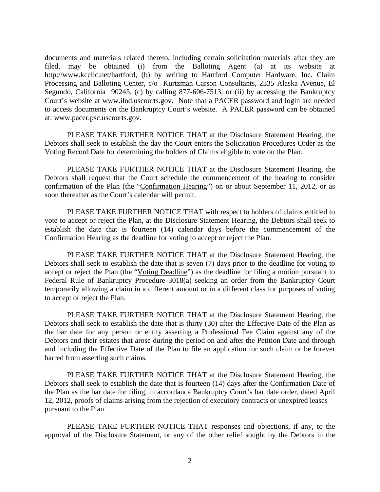documents and materials related thereto, including certain solicitation materials after they are filed, may be obtained (i) from the Balloting Agent (a) at its website at http://www.kccllc.net/hartford, (b) by writing to Hartford Computer Hardware, Inc. Claim Processing and Balloting Center, c/o Kurtzman Carson Consultants, 2335 Alaska Avenue, El Segundo, California 90245, (c) by calling 877-606-7513, or (ii) by accessing the Bankruptcy Court's website at www.ilnd.uscourts.gov. Note that a PACER password and login are needed to access documents on the Bankruptcy Court's website. A PACER password can be obtained at: www.pacer.psc.uscourts.gov.

PLEASE TAKE FURTHER NOTICE THAT at the Disclosure Statement Hearing, the Debtors shall seek to establish the day the Court enters the Solicitation Procedures Order as the Voting Record Date for determining the holders of Claims eligible to vote on the Plan.

PLEASE TAKE FURTHER NOTICE THAT at the Disclosure Statement Hearing, the Debtors shall request that the Court schedule the commencement of the hearing to consider confirmation of the Plan (the "Confirmation Hearing") on or about September 11, 2012, or as soon thereafter as the Court's calendar will permit.

PLEASE TAKE FURTHER NOTICE THAT with respect to holders of claims entitled to vote to accept or reject the Plan, at the Disclosure Statement Hearing, the Debtors shall seek to establish the date that is fourteen (14) calendar days before the commencement of the Confirmation Hearing as the deadline for voting to accept or reject the Plan.

PLEASE TAKE FURTHER NOTICE THAT at the Disclosure Statement Hearing, the Debtors shall seek to establish the date that is seven (7) days prior to the deadline for voting to accept or reject the Plan (the "Voting Deadline") as the deadline for filing a motion pursuant to Federal Rule of Bankruptcy Procedure 3018(a) seeking an order from the Bankruptcy Court temporarily allowing a claim in a different amount or in a different class for purposes of voting to accept or reject the Plan.

PLEASE TAKE FURTHER NOTICE THAT at the Disclosure Statement Hearing, the Debtors shall seek to establish the date that is thirty (30) after the Effective Date of the Plan as the bar date for any person or entity asserting a Professional Fee Claim against any of the Debtors and their estates that arose during the period on and after the Petition Date and through and including the Effective Date of the Plan to file an application for such claim or be forever barred from asserting such claims.

PLEASE TAKE FURTHER NOTICE THAT at the Disclosure Statement Hearing, the Debtors shall seek to establish the date that is fourteen (14) days after the Confirmation Date of the Plan as the bar date for filing, in accordance Bankruptcy Court's bar date order, dated April 12, 2012, proofs of claims arising from the rejection of executory contracts or unexpired leases pursuant to the Plan.

PLEASE TAKE FURTHER NOTICE THAT responses and objections, if any, to the approval of the Disclosure Statement, or any of the other relief sought by the Debtors in the